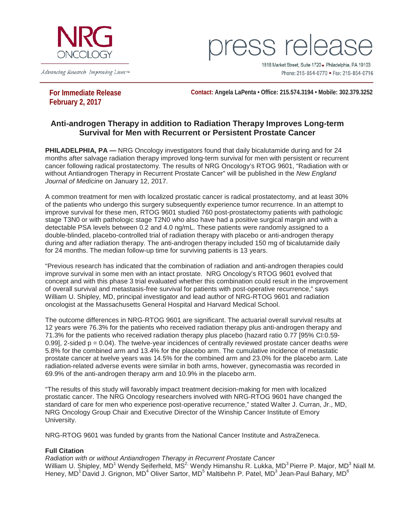

Advancing Research. Improving Lives.™

ress re

1818 Market Street, Suite 1720 · Philadelphia, PA 19103 Phone: 215-854-0770 · Fax: 215-854-0716

**February 2, 2017**

**For Immediate Release Contact: Angela LaPenta • Office: 215.574.3194 • Mobile: 302.379.3252**

## **Anti-androgen Therapy in addition to Radiation Therapy Improves Long-term Survival for Men with Recurrent or Persistent Prostate Cancer**

**PHILADELPHIA, PA —** NRG Oncology investigators found that daily bicalutamide during and for 24 months after salvage radiation therapy improved long-term survival for men with persistent or recurrent cancer following radical prostatectomy. The results of NRG Oncology's RTOG 9601, "Radiation with or without Antiandrogen Therapy in Recurrent Prostate Cancer" will be published in the *New England Journal of Medicine* on January 12, 2017.

A common treatment for men with localized prostatic cancer is radical prostatectomy, and at least 30% of the patients who undergo this surgery subsequently experience tumor recurrence. In an attempt to improve survival for these men, RTOG 9601 studied 760 post-prostatectomy patients with pathologic stage T3N0 or with pathologic stage T2N0 who also have had a positive surgical margin and with a detectable PSA levels between 0.2 and 4.0 ng/mL. These patients were randomly assigned to a double-blinded, placebo-controlled trial of radiation therapy with placebo or anti-androgen therapy during and after radiation therapy. The anti-androgen therapy included 150 mg of bicalutamide daily for 24 months. The median follow-up time for surviving patients is 13 years.

"Previous research has indicated that the combination of radiation and anti-androgen therapies could improve survival in some men with an intact prostate. NRG Oncology's RTOG 9601 evolved that concept and with this phase 3 trial evaluated whether this combination could result in the improvement of overall survival and metastasis-free survival for patients with post-operative recurrence," says William U. Shipley, MD, principal investigator and lead author of NRG-RTOG 9601 and radiation oncologist at the Massachusetts General Hospital and Harvard Medical School.

The outcome differences in NRG-RTOG 9601 are significant. The actuarial overall survival results at 12 years were 76.3% for the patients who received radiation therapy plus anti-androgen therapy and 71.3% for the patients who received radiation therapy plus placebo (hazard ratio 0.77 [95% CI:0.59- 0.99], 2-sided  $p = 0.04$ ). The twelve-year incidences of centrally reviewed prostate cancer deaths were 5.8% for the combined arm and 13.4% for the placebo arm. The cumulative incidence of metastatic prostate cancer at twelve years was 14.5% for the combined arm and 23.0% for the placebo arm. Late radiation-related adverse events were similar in both arms, however, gynecomastia was recorded in 69.9% of the anti-androgen therapy arm and 10.9% in the placebo arm.

"The results of this study will favorably impact treatment decision-making for men with localized prostatic cancer. The NRG Oncology researchers involved with NRG-RTOG 9601 have changed the standard of care for men who experience post-operative recurrence," stated Walter J. Curran, Jr., MD, NRG Oncology Group Chair and Executive Director of the Winship Cancer Institute of Emory University.

NRG-RTOG 9601 was funded by grants from the National Cancer Institute and AstraZeneca.

## **Full Citation**

*Radiation with or without Antiandrogen Therapy in Recurrent Prostate Cancer* William U. Shipley, MD<sup>1</sup> Wendy Seiferheld, MS<sup>2,</sup> Wendy Himanshu R. Lukka, MD<sup>3</sup> Pierre P. Major, MD<sup>3</sup> Niall M. Heney, MD<sup>1</sup> David J. Grignon, MD<sup>4</sup> Oliver Sartor, MD<sup>5</sup> Maltibehn P. Patel, MD<sup>3</sup> Jean-Paul Bahary, MD<sup>6</sup>